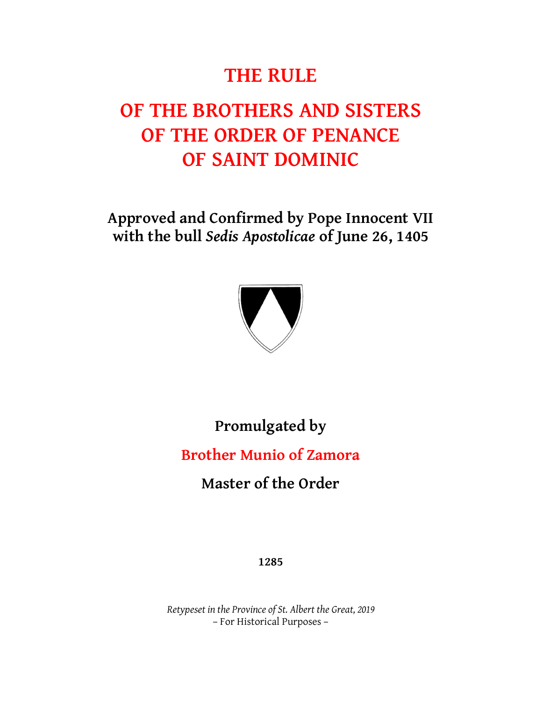# **THE RULE**

# **OF THE BROTHERS AND SISTERS OF THE ORDER OF PENANCE OF SAINT DOMINIC**

**Approved and Confirmed by Pope Innocent VII with the bull** *Sedis Apostolicae* **of June 26, 1405**



**Promulgated by**

**Brother Munio of Zamora**

**Master of the Order**

**1285**

*Retypeset in the Province of St. Albert the Great, 2019* – For Historical Purposes –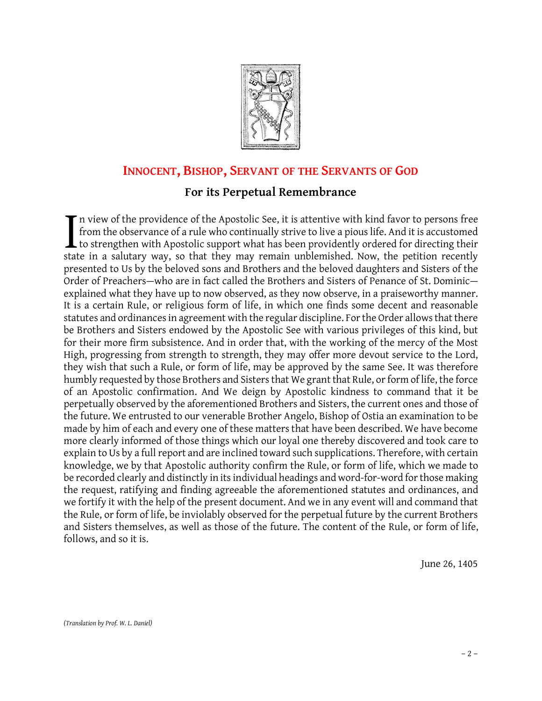

# **<sup>I</sup>NNOCENT, BISHOP, SERVANT OF THE SERVANTS OF GOD**

# **For its Perpetual Remembrance**

In view of the providence of the Apostolic See, it is attentive with kind favor to persons free from the observance of a rule who continually strive to live a pious life. And it is accustomed  $\perp$  to strengthen with Apostolic support what has been providently ordered for directing their In view of the providence of the Apostolic See, it is attentive with kind favor to persons free from the observance of a rule who continually strive to live a pious life. And it is accustomed to strengthen with Apostolic s presented to Us by the beloved sons and Brothers and the beloved daughters and Sisters of the Order of Preachers—who are in fact called the Brothers and Sisters of Penance of St. Dominic explained what they have up to now observed, as they now observe, in a praiseworthy manner. It is a certain Rule, or religious form of life, in which one finds some decent and reasonable statutes and ordinances in agreement with the regular discipline. For the Order allows that there be Brothers and Sisters endowed by the Apostolic See with various privileges of this kind, but for their more firm subsistence. And in order that, with the working of the mercy of the Most High, progressing from strength to strength, they may offer more devout service to the Lord, they wish that such a Rule, or form of life, may be approved by the same See. It was therefore humbly requested by those Brothers and Sisters that We grant that Rule, or form of life, the force of an Apostolic confirmation. And We deign by Apostolic kindness to command that it be perpetually observed by the aforementioned Brothers and Sisters, the current ones and those of the future. We entrusted to our venerable Brother Angelo, Bishop of Ostia an examination to be made by him of each and every one of these matters that have been described. We have become more clearly informed of those things which our loyal one thereby discovered and took care to explain to Us by a full report and are inclined toward such supplications. Therefore, with certain knowledge, we by that Apostolic authority confirm the Rule, or form of life, which we made to be recorded clearly and distinctly in its individual headings and word-for-word for those making the request, ratifying and finding agreeable the aforementioned statutes and ordinances, and we fortify it with the help of the present document. And we in any event will and command that the Rule, or form of life, be inviolably observed for the perpetual future by the current Brothers and Sisters themselves, as well as those of the future. The content of the Rule, or form of life, follows, and so it is.

June 26, 1405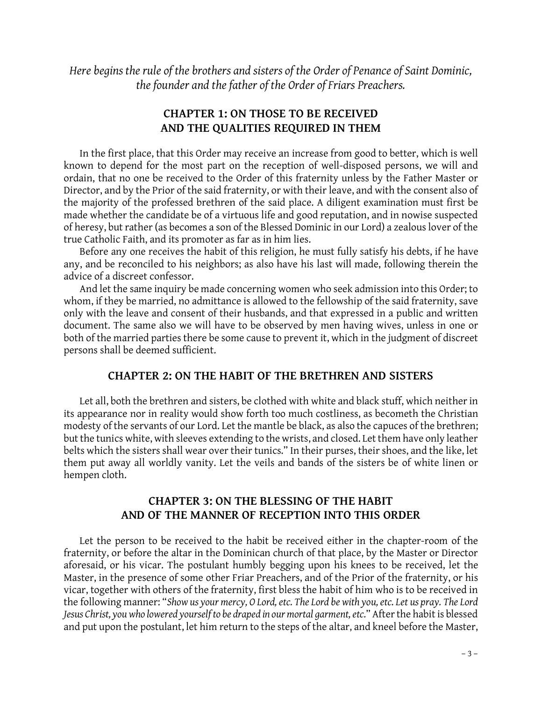*Here begins the rule of the brothers and sisters of the Order of Penance of Saint Dominic, the founder and the father of the Order of Friars Preachers.*

# **CHAPTER 1: ON THOSE TO BE RECEIVED AND THE QUALITIES REQUIRED IN THEM**

In the first place, that this Order may receive an increase from good to better, which is well known to depend for the most part on the reception of well-disposed persons, we will and ordain, that no one be received to the Order of this fraternity unless by the Father Master or known to depend for the most part on the reception of well-disposed persons, we will and<br>ordain, that no one be received to the Order of this fraternity unless by the Father Master or<br>Director, and by the Prior of the said the majority of the professed brethren of the said place. A diligent examination must first be made whether the candidate be of a virtuous life and good reputation, and in nowise suspected of heresy, but rather (as becomes a son of the Blessed Dominic in our Lord) a zealous lover of the true Catholic Faith, and its promoter as far as in him lies.

Before any one receives the habit of this religion, he must fully satisfy his debts, if he have any, and be reconciled to his neighbors; as also have his last will made, following therein the advice of a discreet confessor.

And let the same inquiry be made concerning women who seek admission into this Order; to whom, if they be married, no admittance is allowed to the fellowship of the said fraternity, save only with the leave and consent of their husbands, and that expressed in a public and written document. The same also we will have to be observed by men having wives, unless in one or both of the married parties there be some cause to prevent it, which in the judgment of discreet persons shall be deemed sufficient.

#### **CHAPTER 2: ON THE HABIT OF THE BRETHREN AND SISTERS**

Let all, both the brethren and sisters, be clothed with white and black stuff, which neither in its appearance nor in reality would show forth too much costliness, as becometh the Christian modesty of the servants of our Lord. Let the mantle be black, as also the capuces of the brethren; but the tunics white, with sleeves extending to the wrists, and closed. Let them have only leather belts which the sisters shall wear over their tunics." In their purses, their shoes, and the like, let them put away all worldly vanity. Let the veils and bands of the sisters be of white linen or hempen cloth.

## **CHAPTER 3: ON THE BLESSING OF THE HABIT AND OF THE MANNER OF RECEPTION INTO THIS ORDER**

Let the person to be received to the habit be received either in the chapter-room of the fraternity, or before the altar in the Dominican church of that place, by the Master or Director aforesaid, or his vicar. The postulant humbly begging upon his knees to be received, let the Master, in the presence of some other Friar Preachers, and of the Prior of the fraternity, or his vicar, together with others of the fraternity, first bless the habit of him who is to be received in the following manner: "*Show us your mercy, O Lord, etc. The Lord be with you, etc. Let us pray. The Lord*  vicar, together with others of the fraternity, first bless the habit of him who is to be received in<br>the following manner: "Show us your mercy, O Lord, etc. The Lord be with you, etc. Let us pray. The Lord<br>Jesus Christ, yo and put upon the postulant, let him return to the steps of the altar, and kneel before the Master,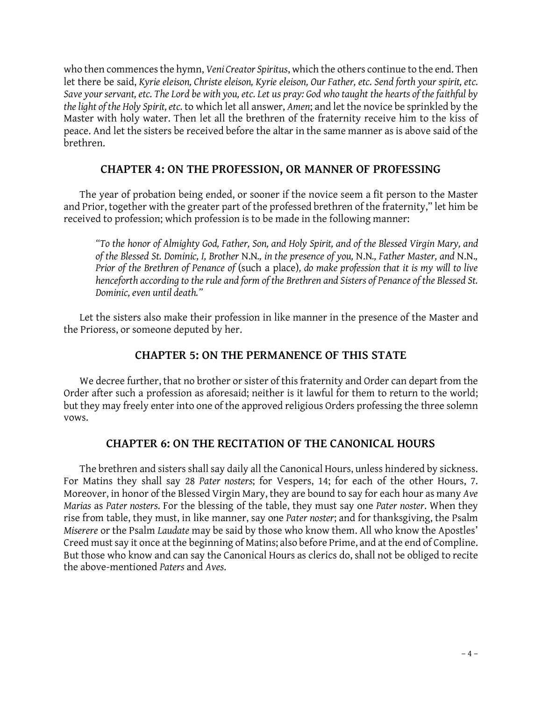who then commences the hymn, *Veni Creator Spiritus*, which the others continue to the end. Then let there be said, *Kyrie eleison, Christe eleison, Kyrie eleison, Our Father, etc. Send forth your spirit, etc. Save your servant, etc. The Lord be with you, etc. Let us pray: God who taught the hearts of the faithful by the light of the Holy Spirit, etc.* to which let all answer, *Amen*; and let the novice be sprinkled by the Master with holy water. Then let all the brethren of the fraternity receive him to the kiss of peace. And let the sisters be received before the altar in the same manner as is above said of the brethren.

## **CHAPTER 4: ON THE PROFESSION, OR MANNER OF PROFESSING**

The year of probation being ended, or sooner if the novice seem a fit person to the Master and Prior, together with the greater part of the professed brethren of the fraternity," let him be received to profession; which profession is to be made in the following manner:

*"To the honor of Almighty God, Father, Son, and Holy Spirit, and of the Blessed Virgin Mary, and*  Prior of the Brethren of Penance of (such a place), do make profession that it is my will to live *henceforth according to the rule and form of the Brethren and Sisters of Penance of the Blessed St. Dominic, even until death."*

Let the sisters also make their profession in like manner in the presence of the Master and the Prioress, or someone deputed by her.

# **CHAPTER 5: ON THE PERMANENCE OF THIS STATE**

We decree further, that no brother or sister of this fraternity and Order can depart from the Order after such a profession as aforesaid; neither is it lawful for them to return to the world; but they may freely enter into one of the approved religious Orders professing the three solemn vows.

### **CHAPTER 6: ON THE RECITATION OF THE CANONICAL HOURS**

The brethren and sisters shall say daily all the Canonical Hours, unless hindered by sickness. For Matins they shall say 28 *Pater nosters*; for Vespers, 14; for each of the other Hours, 7. The brethren and sisters shall say daily all the Canonical Hours, unless hindered by sickness.<br>For Matins they shall say 28 Pater nosters; for Vespers, 14; for each of the other Hours, 7.<br>Moreover, in honor of the Blessed *Marias* as *Pater nosters*. For the blessing of the table, they must say one *Pater noster*. When they rise from table, they must, in like manner, say one *Pater noster*; and for thanksgiving, the Psalm *Miserere* or the Psalm *Laudate* may be said by those who know them. All who know the Apostles' Creed must say it once at the beginning of Matins; also before Prime, and at the end of Compline. But those who know and can say the Canonical Hours as clerics do, shall not be obliged to recite the above-mentioned *Paters* and *Aves*.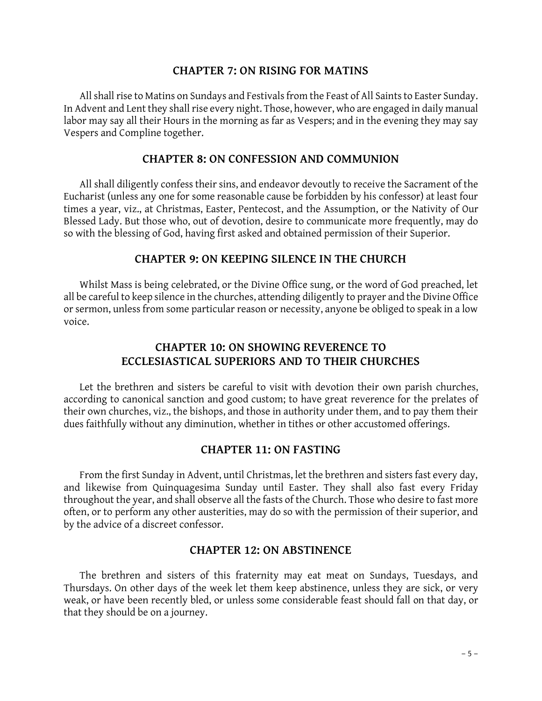#### **CHAPTER 7: ON RISING FOR MATINS**

All shall rise to Matins on Sundays and Festivals from the Feast of All Saints to Easter Sunday. In Advent and Lent they shall rise every night. Those, however, who are engaged in daily manual All shall rise to Matins on Sundays and Festivals from the Feast of All Saints to Easter Sunday.<br>In Advent and Lent they shall rise every night. Those, however, who are engaged in daily manual<br>labor may say all their Hours Vespers and Compline together. labor may say all their Hours in the morning as far as Vespers; and in the evening they may say<br>Vespers and Compline together.<br>**CHAPTER 8: ON CONFESSION AND COMMUNION** 

All shall diligently confess their sins, and endeavor devoutly to receive the Sacrament of the All shall diligently confess their sins, and endeavor devoutly to receive the Sacrament of the<br>Eucharist (unless any one for some reasonable cause be forbidden by his confessor) at least four<br>times a year, yiz, at Christma All shall diligently confess their sins, and endeavor devoutly to receive the Sacrament of the<br>Eucharist (unless any one for some reasonable cause be forbidden by his confessor) at least four<br>times a year, viz., at Christm Eucharist (unless any one for some reasonable cause be forbidden by his confessor) at least four<br>times a year, viz., at Christmas, Easter, Pentecost, and the Assumption, or the Nativity of Our<br>Blessed Lady. But those who, so with the blessing of God, having first asked and obtained permission of their Superior.<br> **CHAPTER 9: ON KEEPING SILENCE IN THE CHURCH** 

Whilst Mass is being celebrated, or the Divine Office sung, or the word of God preached, let all be careful to keep silence in the churches, attending diligently to prayer and the Divine Office or sermon, unless from some particular reason or necessity, anyone be obliged to speak in a low voice.

## **CHAPTER 10: ON SHOWING REVERENCE TO ECCLESIASTICAL SUPERIORS AND TO THEIR CHURCHES**

Let the brethren and sisters be careful to visit with devotion their own parish churches, according to canonical sanction and good custom; to have great reverence for the prelates of their own churches, viz., the bishops, and those in authority under them, and to pay them their dues faithfully without any diminution, whether in tithes or other accustomed offerings.

#### **CHAPTER 11: ON FASTING**

From the first Sunday in Advent, until Christmas, let the brethren and sisters fast every day, and likewise from Quinquagesima Sunday until Easter. They shall also fast every Friday throughout the year, and shall observe all the fasts of the Church. Those who desire to fast more often, or to perform any other austerities, may do so with the permission of their superior, and by the advice of a discreet confessor.

#### **CHAPTER 12: ON ABSTINENCE**

The brethren and sisters of this fraternity may eat meat on Sundays, Tuesdays, and Thursdays. On other days of the week let them keep abstinence, unless they are sick, or very weak, or have been recently bled, or unless some considerable feast should fall on that day, or that they should be on a journey.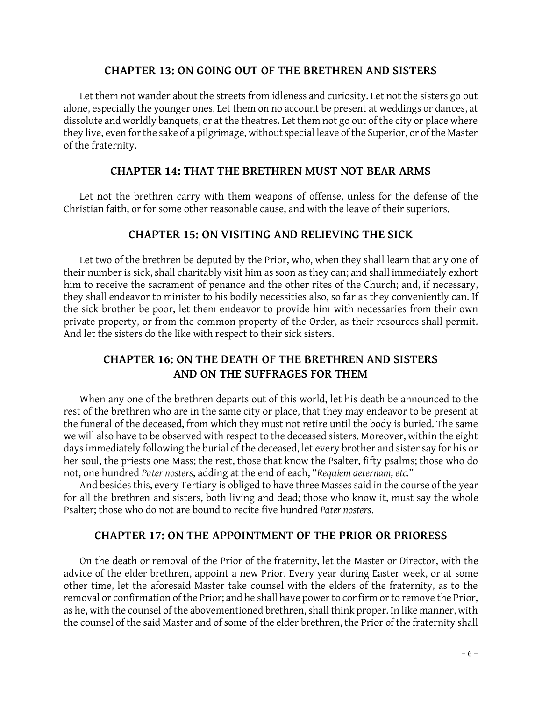### **CHAPTER 13: ON GOING OUT OF THE BRETHREN AND SISTERS**

Let them not wander about the streets from idleness and curiosity. Let not the sisters go out alone, especially the younger ones. Let them on no account be present at weddings or dances, at Let them not wander about the streets from idleness and curiosity. Let not the sisters go out<br>alone, especially the younger ones. Let them on no account be present at weddings or dances, at<br>dissolute and worldly banquets, they live, even for the sake of a pilgrimage, without special leave of the Superior, or of the Master of the fraternity.

#### **CHAPTER 14: THAT THE BRETHREN MUST NOT BEAR ARMS**

Let not the brethren carry with them weapons of offense, unless for the defense of the Christian faith, or for some other reasonable cause, and with the leave of their superiors. **CHAPTER 15: ON VISITING AND RELIEVING THE SICK**

Let two of the brethren be deputed by the Prior, who, when they shall learn that any one of their number is sick, shall charitably visit him as soon as they can; and shall immediately exhort<br>him to receive the sacrament of penance and the other rites of the Church; and, if necessary,<br>they shall endeavor to minist him to receive the sacrament of penance and the other rites of the Church; and, if necessary, they shall endeavor to minister to his bodily necessities also, so far as they conveniently can. If<br>the sick brother be poor, let them endeavor to provide him with necessaries from their own private property, or from the common property of the Order, as their resources shall permit. And let the sisters do the like with respect to their sick sisters.

# **CHAPTER 16: ON THE DEATH OF THE BRETHREN AND SISTERS AND ON THE SUFFRAGES FOR THEM**

When any one of the brethren departs out of this world, let his death be announced to the rest of the brethren who are in the same city or place, that they may endeavor to be present at the funeral of the deceased, from which they must not retire until the body is buried. The same we will also have to be observed with respect to the deceased sisters. Moreover, within the eight days immediately following the burial of the deceased, let every brother and sister say for his or her soul, the priests one Mass; the rest, those that know the Psalter, fifty psalms; those who do days immediately following the burial of the deceased, let every brother and sister say for his or<br>her soul, the priests one Mass; the rest, those that know the Psalter, fifty psalms; those who do<br>not, one hundred *Pater n* 

for all the brethren and sisters, both living and dead; those who know it, must say the whole Psalter; those who do not are bound to recite five hundred *Pater nosters*.

#### **CHAPTER 17: ON THE APPOINTMENT OF THE PRIOR OR PRIORESS**

On the death or removal of the Prior of the fraternity, let the Master or Director, with the advice of the elder brethren, appoint a new Prior. Every year during Easter week, or at some other time, let the aforesaid Master take counsel with the elders of the fraternity, as to the removal or confirmation of the Prior; and he shall have power to confirm or to remove the Prior, other time, let the aforesaid Master take counsel with the elders of the fraternity, as to the removal or confirmation of the Prior; and he shall have power to confirm or to remove the Prior, as he, with the counsel of the the counsel of the said Master and of some of the elder brethren, the Prior of the fraternity shall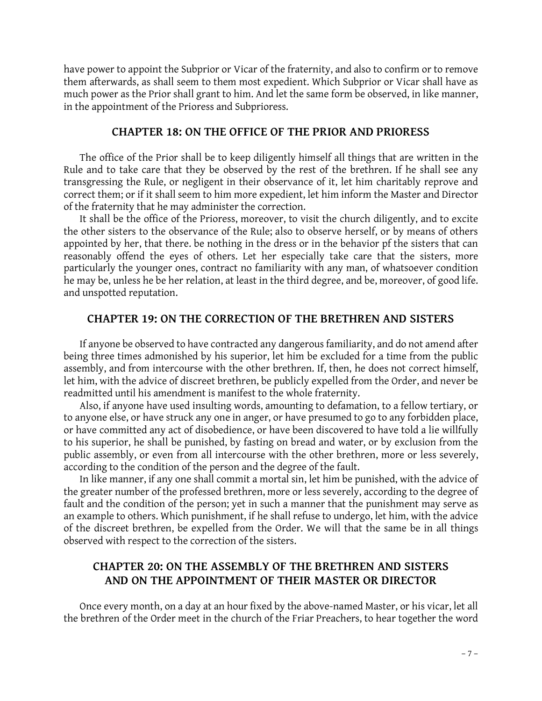have power to appoint the Subprior or Vicar of the fraternity, and also to confirm or to remove them afterwards, as shall seem to them most expedient. Which Subprior or Vicar shall have as much power as the Prior shall grant to him. And let the same form be observed, in like manner, in the appointment of the Prioress and Subprioress.

#### **CHAPTER 18: ON THE OFFICE OF THE PRIOR AND PRIORESS**

The office of the Prior shall be to keep diligently himself all things that are written in the Rule and to take care that they be observed by the rest of the brethren. If he shall see any transgressing the Rule, or negligent in their observance of it, let him charitably reprove and correct them; or if it shall seem to him more expedient, let him inform the Master and Director of the fraternity that he may administer the correction.

It shall be the office of the Prioress, moreover, to visit the church diligently, and to excite<br>the other sisters to the observance of the Rule; also to observe herself, or by means of others<br>appointed by her, that there. the other sisters to the observance of the Rule; also to observe herself, or by means of others reasonably offend the eyes of others. Let her especially take care that the sisters, more particularly the younger ones, contract no familiarity with any man, of whatsoever condition he may be, unless he be her relation, at least in the third degree, and be, moreover, of good life. and unspotted reputation.

#### **CHAPTER 19: ON THE CORRECTION OF THE BRETHREN AND SISTERS**

If anyone be observed to have contracted any dangerous familiarity, and do not amend after being three times admonished by his superior, let him be excluded for a time from the public assembly, and from intercourse with the other brethren. If, then, he does not correct himself, let him, with the advice of discreet brethren, be publicly expelled from the Order, and never be readmitted until his amendment is manifest to the whole fraternity.

Also, if anyone have used insulting words, amounting to defamation, to a fellow tertiary, or to anyone else, or have struck any one in anger, or have presumed to go to any forbidden place, or have committed any act of disobedience, or have been discovered to have told a lie willfully to his superior, he shall be punished, by fasting on bread and water, or by exclusion from the public assembly, or even from all intercourse with the other brethren, more or less severely, according to the condition of the person and the degree of the fault.

In like manner, if any one shall commit a mortal sin, let him be punished, with the advice of the greater number of the professed brethren, more or less severely, according to the degree of fault and the condition of the person; yet in such a manner that the punishment may serve as an example to others. Which punishment, if he shall refuse to undergo, let him, with the advice of the discreet brethren, be expelled from the Order. We will that the same be in all things observed with respect to the correction of the sisters.

# **CHAPTER 20: ON THE ASSEMBLY OF THE BRETHREN AND SISTERS AND ON THE APPOINTMENT OF THEIR MASTER OR DIRECTOR**

Once every month, on a day at an hour fixed by the above-named Master, or his vicar, let all the brethren of the Order meet in the church of the Friar Preachers, to hear together the word